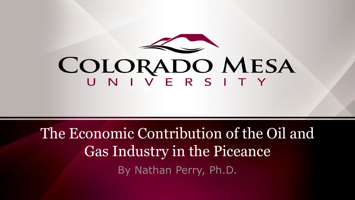

# COLORADO MESA

The Economic Contribution of the Oil and Gas Industry in the Piceance By Nathan Perry, Ph.D.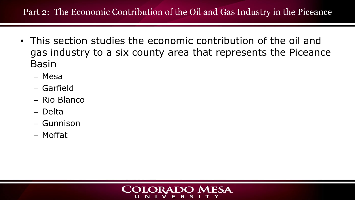#### Part 2: The Economic Contribution of the Oil and Gas Industry in the Piceance

- This section studies the economic contribution of the oil and gas industry to a six county area that represents the Piceance Basin
	- Mesa
	- Garfield
	- Rio Blanco
	- Delta
	- Gunnison
	- Moffat

#### **COLORADO MESA** NIVE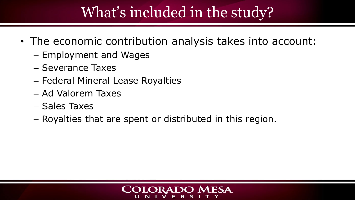### What's included in the study?

- The economic contribution analysis takes into account:
	- Employment and Wages
	- Severance Taxes
	- Federal Mineral Lease Royalties
	- Ad Valorem Taxes
	- Sales Taxes
	- Royalties that are spent or distributed in this region.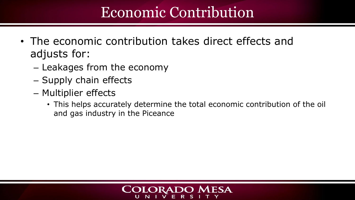### Economic Contribution

- The economic contribution takes direct effects and adjusts for:
	- Leakages from the economy
	- Supply chain effects
	- Multiplier effects
		- This helps accurately determine the total economic contribution of the oil and gas industry in the Piceance

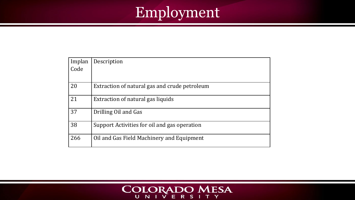### Employment

| Implan | Description                                   |
|--------|-----------------------------------------------|
| Code   |                                               |
|        |                                               |
| 20     | Extraction of natural gas and crude petroleum |
| 21     | Extraction of natural gas liquids             |
| 37     | Drilling Oil and Gas                          |
| 38     | Support Activities for oil and gas operation  |
| 266    | Oil and Gas Field Machinery and Equipment     |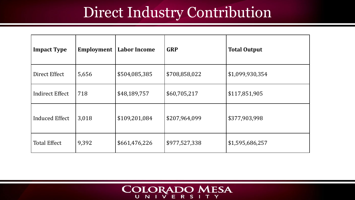### Direct Industry Contribution

| <b>Impact Type</b>    | <b>Employment</b> | <b>Labor Income</b> | <b>GRP</b>    | <b>Total Output</b> |
|-----------------------|-------------------|---------------------|---------------|---------------------|
| Direct Effect         | 5,656             | \$504,085,385       | \$708,858,022 | \$1,099,930,354     |
| Indirect Effect       | 718               | \$48,189,757        | \$60,705,217  | \$117,851,905       |
| <b>Induced Effect</b> | 3,018             | \$109,201,084       | \$207,964,099 | \$377,903,998       |
| <b>Total Effect</b>   | 9,392             | \$661,476,226       | \$977,527,338 | \$1,595,686,257     |

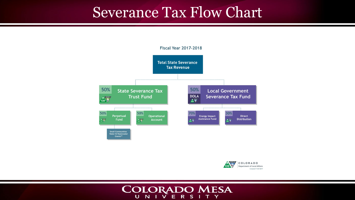### Severance Tax Flow Chart



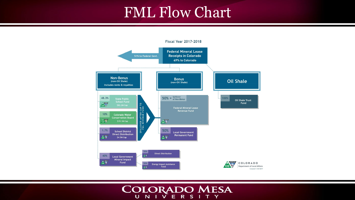### FML Flow Chart

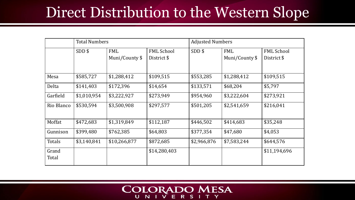### Direct Distribution to the Western Slope

|                | <b>Total Numbers</b> |                |                   | <b>Adjusted Numbers</b> |                |                   |
|----------------|----------------------|----------------|-------------------|-------------------------|----------------|-------------------|
|                | $SDD$ \$             | <b>FML</b>     | <b>FML School</b> | $SDD$ \$                | <b>FML</b>     | <b>FML School</b> |
|                |                      | Muni/County \$ | District \$       |                         | Muni/County \$ | District \$       |
| Mesa           | \$585,727            | \$1,288,412    | \$109,515         | \$553,285               | \$1,288,412    | \$109,515         |
| Delta          | \$141,403            | \$172,396      | \$14,654          | \$133,571               | \$68,204       | \$5,797           |
| Garfield       | \$1,010,954          | \$3,222,927    | \$273,949         | \$954,960               | \$3,222,604    | \$273,921         |
| Rio Blanco     | \$530,594            | \$3,500,908    | \$297,577         | \$501,205               | \$2,541,659    | \$216,041         |
| Moffat         | \$472,683            | \$1,319,849    | \$112,187         | \$446,502               | \$414,683      | \$35,248          |
| Gunnison       | \$399,480            | \$762,385      | \$64,803          | \$377,354               | \$47,680       | \$4,053           |
| Totals         | \$3,140,841          | \$10,266,877   | \$872,685         | \$2,966,876             | \$7,583,244    | \$644,576         |
| Grand<br>Total |                      |                | \$14,280,403      |                         |                | \$11,194,696      |

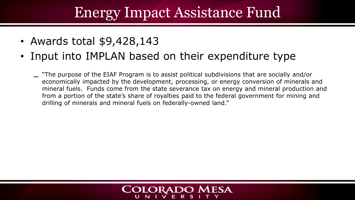### Energy Impact Assistance Fund

- Awards total \$9,428,143
- Input into IMPLAN based on their expenditure type
	- "The purpose of the EIAF Program is to assist political subdivisions that are socially and/or economically impacted by the development, processing, or energy conversion of minerals and mineral fuels. Funds come from the state severance tax on energy and mineral production and from a portion of the state's share of royalties paid to the federal government for mining and drilling of minerals and mineral fuels on federally-owned land."

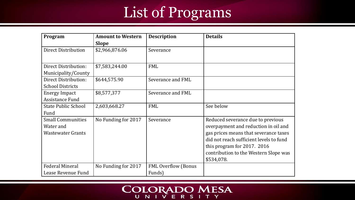### List of Programs

| Program                                                           | <b>Amount to Western</b> | <b>Description</b>                   | <b>Details</b>                                                                                                                                                                                                                                      |
|-------------------------------------------------------------------|--------------------------|--------------------------------------|-----------------------------------------------------------------------------------------------------------------------------------------------------------------------------------------------------------------------------------------------------|
|                                                                   | <b>Slope</b>             |                                      |                                                                                                                                                                                                                                                     |
| <b>Direct Distribution</b>                                        | \$2,966,876.06           | Severance                            |                                                                                                                                                                                                                                                     |
| <b>Direct Distribution:</b><br>Municipality/County                | \$7,583,244.00           | <b>FML</b>                           |                                                                                                                                                                                                                                                     |
| <b>Direct Distribution:</b><br><b>School Districts</b>            | \$644,575.90             | Severance and FML                    |                                                                                                                                                                                                                                                     |
| <b>Energy Impact</b><br><b>Assistance Fund</b>                    | \$8,577,377              | Severance and FML                    |                                                                                                                                                                                                                                                     |
| <b>State Public School</b><br>Fund                                | 2,603,668.27             | <b>FML</b>                           | See below                                                                                                                                                                                                                                           |
| <b>Small Communities</b><br>Water and<br><b>Wastewater Grants</b> | No Funding for 2017      | Severance                            | Reduced severance due to previous<br>overpayment and reduction in oil and<br>gas prices means that severance taxes<br>did not reach sufficient levels to fund<br>this program for 2017. 2016<br>contribution to the Western Slope was<br>\$534,078. |
| <b>Federal Mineral</b><br>Lease Revenue Fund                      | No Funding for 2017      | <b>FML Overflow (Bonus</b><br>Funds) |                                                                                                                                                                                                                                                     |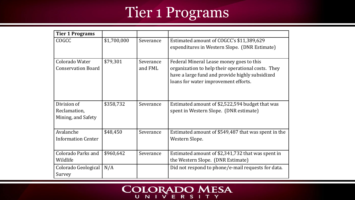### Tier 1 Programs

| <b>Tier 1 Programs</b>                            |             |                      |                                                                                                                                                                                           |
|---------------------------------------------------|-------------|----------------------|-------------------------------------------------------------------------------------------------------------------------------------------------------------------------------------------|
| COGCC                                             | \$1,700,000 | Severance            | Estimated amount of COGCC's \$11,389,629<br>expenditures in Western Slope. (DNR Estimate)                                                                                                 |
| Colorado Water<br><b>Conservation Board</b>       | \$79,301    | Severance<br>and FML | Federal Mineral Lease money goes to this<br>organization to help their operational costs. They<br>have a large fund and provide highly subsidized<br>loans for water improvement efforts. |
| Division of<br>Reclamation,<br>Mining, and Safety | \$358,732   | Severance            | Estimated amount of \$2,522,594 budget that was<br>spent in Western Slope. (DNR estimate)                                                                                                 |
| Avalanche<br><b>Information Center</b>            | \$48,450    | Severance            | Estimated amount of \$549,487 that was spent in the<br>Western Slope.                                                                                                                     |
| Colorado Parks and<br>Wildlife                    | \$960,642   | Severance            | Estimated amount of \$2,341,732 that was spent in<br>the Western Slope. (DNR Estimate)                                                                                                    |
| Colorado Geological<br>Survey                     | N/A         |                      | Did not respond to phone/e-mail requests for data.                                                                                                                                        |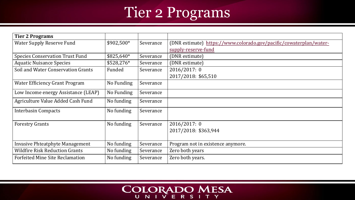### Tier 2 Programs

| <b>Tier 2 Programs</b>                 |             |           |                                                                    |
|----------------------------------------|-------------|-----------|--------------------------------------------------------------------|
| <b>Water Supply Reserve Fund</b>       | \$902,500*  | Severance | (DNR estimate) https://www.colorado.gov/pacific/cowaterplan/water- |
|                                        |             |           | supply-reserve-fund                                                |
| <b>Species Conservation Trust Fund</b> | $$825,640*$ | Severance | (DNR estimate)                                                     |
| <b>Aquatic Nuisance Species</b>        | $$528,276*$ | Severance | (DNR estimate)                                                     |
| Soil and Water Conservation Grants     | Funded      | Severance | 2016/2017: 0                                                       |
|                                        |             |           | 2017/2018: \$65,510                                                |
| <b>Water Efficiency Grant Program</b>  | No Funding  | Severance |                                                                    |
| Low Income energy Assistance (LEAP)    | No Funding  | Severance |                                                                    |
| Agriculture Value Added Cash Fund      | No funding  | Severance |                                                                    |
| <b>Interbasin Compacts</b>             | No funding  | Severance |                                                                    |
| <b>Forestry Grants</b>                 | No funding  | Severance | 2016/2017: 0                                                       |
|                                        |             |           | 2017/2018: \$363,944                                               |
|                                        |             |           |                                                                    |
| Invasive Phteatphyte Management        | No funding  | Severance | Program not in existence anymore.                                  |
| <b>Wildfire Risk Reduction Grants</b>  | No funding  | Severance | Zero both years                                                    |
| <b>Forfeited Mine Site Reclamation</b> | No funding  | Severance | Zero both years.                                                   |

# $\text{COLORADO}$  MESA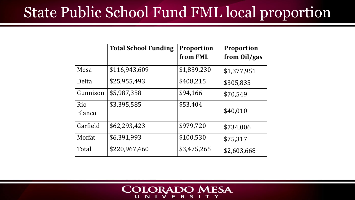### State Public School Fund FML local proportion

|                      | <b>Total School Funding</b> | <b>Proportion</b><br>from FML | <b>Proportion</b><br>from Oil/gas |
|----------------------|-----------------------------|-------------------------------|-----------------------------------|
| Mesa                 | \$116,943,609               | \$1,839,230                   | \$1,377,951                       |
| Delta                | \$25,955,493                | \$408,215                     | \$305,835                         |
| Gunnison             | \$5,987,358                 | \$94,166                      | \$70,549                          |
| Rio<br><b>Blanco</b> | \$3,395,585                 | \$53,404                      | \$40,010                          |
| Garfield             | \$62,293,423                | \$979,720                     | \$734,006                         |
| Moffat               | \$6,391,993                 | \$100,530                     | \$75,317                          |
| Total                | \$220,967,460               | \$3,475,265                   | \$2,603,668                       |

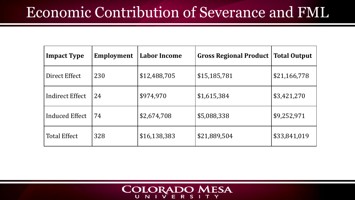### Economic Contribution of Severance and FML

| <b>Impact Type</b>    | Employment | <b>Labor Income</b> | <b>Gross Regional Product</b> | <b>Total Output</b> |
|-----------------------|------------|---------------------|-------------------------------|---------------------|
| Direct Effect         | 230        | \$12,488,705        | \$15,185,781                  | \$21,166,778        |
| Indirect Effect       | 24         | \$974,970           | \$1,615,384                   | \$3,421,270         |
| <b>Induced Effect</b> | 74         | \$2,674,708         | \$5,088,338                   | \$9,252,971         |
| <b>Total Effect</b>   | 328        | \$16,138,383        | \$21,889,504                  | \$33,841,019        |

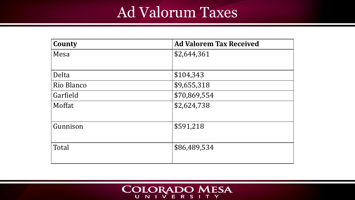### Ad Valorum Taxes

| County     | <b>Ad Valorem Tax Received</b> |
|------------|--------------------------------|
| Mesa       | \$2,644,361                    |
|            |                                |
| Delta      | \$104,343                      |
| Rio Blanco | \$9,655,318                    |
| Garfield   | \$70,869,554                   |
| Moffat     | \$2,624,738                    |
|            |                                |
| Gunnison   | \$591,218                      |
|            |                                |
| Total      | \$86,489,534                   |
|            |                                |

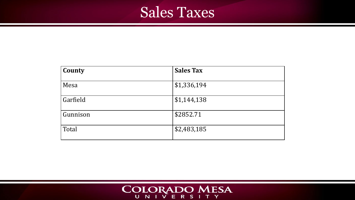### Sales Taxes

| County   | <b>Sales Tax</b> |
|----------|------------------|
| Mesa     | \$1,336,194      |
| Garfield | \$1,144,138      |
| Gunnison | \$2852.71        |
| Total    | \$2,483,185      |

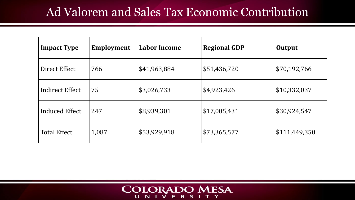#### Ad Valorem and Sales Tax Economic Contribution

| <b>Impact Type</b>    | Employment | <b>Labor Income</b> | <b>Regional GDP</b> | Output        |
|-----------------------|------------|---------------------|---------------------|---------------|
| Direct Effect         | 766        | \$41,963,884        | \$51,436,720        | \$70,192,766  |
| Indirect Effect       | 75         | \$3,026,733         | \$4,923,426         | \$10,332,037  |
| <b>Induced Effect</b> | 247        | \$8,939,301         | \$17,005,431        | \$30,924,547  |
| <b>Total Effect</b>   | 1,087      | \$53,929,918        | \$73,365,577        | \$111,449,350 |

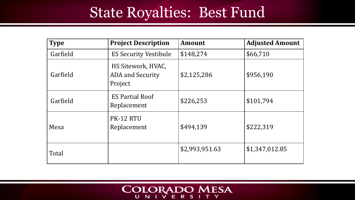### State Royalties: Best Fund

| <b>Type</b> | <b>Project Description</b>                               | <b>Amount</b>  | <b>Adjusted Amount</b> |
|-------------|----------------------------------------------------------|----------------|------------------------|
| Garfield    | <b>ES Security Vestibule</b>                             | \$148,274      | \$66,710               |
| Garfield    | HS Sitework, HVAC,<br><b>ADA</b> and Security<br>Project | \$2,125,286    | \$956,190              |
| Garfield    | <b>ES Partial Roof</b><br>Replacement                    | \$226,253      | \$101,794              |
| Mesa        | PK-12 RTU<br>Replacement                                 | \$494,139      | \$222,319              |
| Total       |                                                          | \$2,993,951.63 | \$1,347,012.85         |

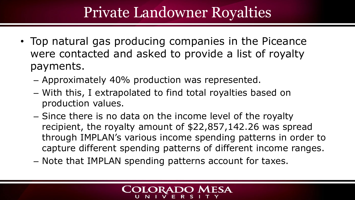### Private Landowner Royalties

- Top natural gas producing companies in the Piceance were contacted and asked to provide a list of royalty payments.
	- Approximately 40% production was represented.
	- With this, I extrapolated to find total royalties based on production values.
	- Since there is no data on the income level of the royalty recipient, the royalty amount of \$22,857,142.26 was spread through IMPLAN's various income spending patterns in order to capture different spending patterns of different income ranges.
	- Note that IMPLAN spending patterns account for taxes.

#### **ORADO M ESA**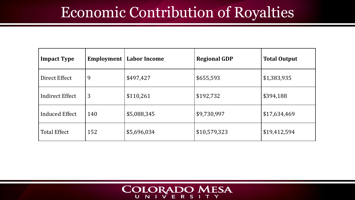### Economic Contribution of Royalties

| <b>Impact Type</b>     | <b>Employment</b> | <b>Labor Income</b> | <b>Regional GDP</b> | <b>Total Output</b> |
|------------------------|-------------------|---------------------|---------------------|---------------------|
| Direct Effect          | 9                 | \$497,427           | \$655,593           | \$1,383,935         |
| <b>Indirect Effect</b> | 3                 | \$110,261           | \$192,732           | \$394,188           |
| <b>Induced Effect</b>  | 140               | \$5,088,345         | \$9,730,997         | \$17,634,469        |
| <b>Total Effect</b>    | 152               | \$5,696,034         | \$10,579,323        | \$19,412,594        |

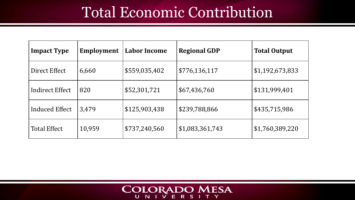### Total Economic Contribution

| <b>Impact Type</b>    | Employment | <b>Labor Income</b> | <b>Regional GDP</b> | <b>Total Output</b> |
|-----------------------|------------|---------------------|---------------------|---------------------|
| Direct Effect         | 6,660      | \$559,035,402       | \$776,136,117       | \$1,192,673,833     |
| Indirect Effect       | 820        | \$52,301,721        | \$67,436,760        | \$131,999,401       |
| <b>Induced Effect</b> | 3,479      | \$125,903,438       | \$239,788,866       | \$435,715,986       |
| <b>Total Effect</b>   | 10,959     | \$737,240,560       | \$1,083,361,743     | \$1,760,389,220     |

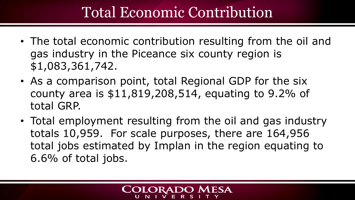### Total Economic Contribution

- The total economic contribution resulting from the oil and gas industry in the Piceance six county region is \$1,083,361,742.
- As a comparison point, total Regional GDP for the six county area is \$11,819,208,514, equating to 9.2% of total GRP.
- Total employment resulting from the oil and gas industry totals 10,959. For scale purposes, there are 164,956 total jobs estimated by Implan in the region equating to 6.6% of total jobs.